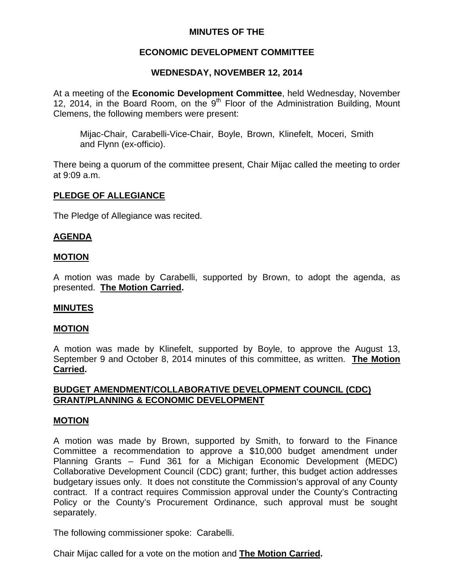# **MINUTES OF THE**

# **ECONOMIC DEVELOPMENT COMMITTEE**

# **WEDNESDAY, NOVEMBER 12, 2014**

At a meeting of the **Economic Development Committee**, held Wednesday, November 12, 2014, in the Board Room, on the  $9<sup>th</sup>$  Floor of the Administration Building, Mount Clemens, the following members were present:

Mijac-Chair, Carabelli-Vice-Chair, Boyle, Brown, Klinefelt, Moceri, Smith and Flynn (ex-officio).

There being a quorum of the committee present, Chair Mijac called the meeting to order at 9:09 a.m.

## **PLEDGE OF ALLEGIANCE**

The Pledge of Allegiance was recited.

## **AGENDA**

#### **MOTION**

A motion was made by Carabelli, supported by Brown, to adopt the agenda, as presented. **The Motion Carried.** 

## **MINUTES**

#### **MOTION**

A motion was made by Klinefelt, supported by Boyle, to approve the August 13, September 9 and October 8, 2014 minutes of this committee, as written. **The Motion Carried.** 

### **BUDGET AMENDMENT/COLLABORATIVE DEVELOPMENT COUNCIL (CDC) GRANT/PLANNING & ECONOMIC DEVELOPMENT**

#### **MOTION**

A motion was made by Brown, supported by Smith, to forward to the Finance Committee a recommendation to approve a \$10,000 budget amendment under Planning Grants – Fund 361 for a Michigan Economic Development (MEDC) Collaborative Development Council (CDC) grant; further, this budget action addresses budgetary issues only. It does not constitute the Commission's approval of any County contract. If a contract requires Commission approval under the County's Contracting Policy or the County's Procurement Ordinance, such approval must be sought separately.

The following commissioner spoke: Carabelli.

Chair Mijac called for a vote on the motion and **The Motion Carried.**